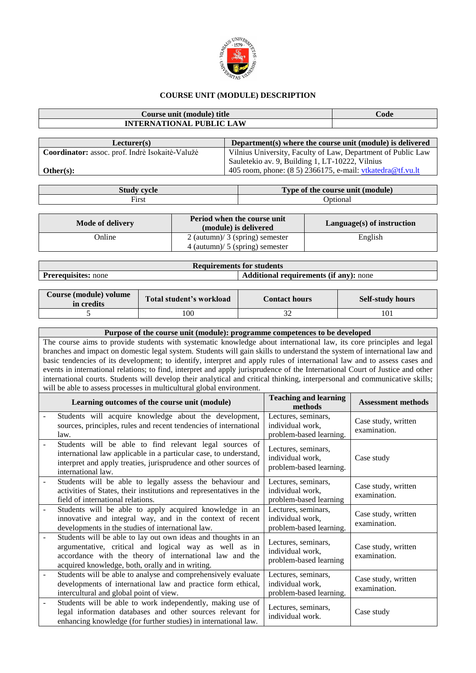

## **COURSE UNIT (MODULE) DESCRIPTION**

| Course unit (module) title      | $\bf Code$ |
|---------------------------------|------------|
| <b>INTERNATIONAL PUBLIC LAW</b> |            |
|                                 |            |

| Lecturer(s)                                     | Department(s) where the course unit (module) is delivered     |
|-------------------------------------------------|---------------------------------------------------------------|
| Coordinator: assoc. prof. Indrė Isokaitė-Valužė | Vilnius University, Faculty of Law, Department of Public Law  |
|                                                 | Sauletekio av. 9, Building 1, LT-10222, Vilnius               |
| Other(s):                                       | 405 room, phone: $(8\ 5)$ 2366175, e-mail: vtkatedra@tf.vu.lt |

| Stud<br>cvcle | $T$ vne<br>(module)<br>ecourse unit<br>` 01<br>шс |
|---------------|---------------------------------------------------|
| First         | Jotiona.                                          |

| Mode of delivery | Period when the course unit<br>(module) is delivered                   | $Language(s)$ of instruction |
|------------------|------------------------------------------------------------------------|------------------------------|
| Online           | $2$ (autumn)/ 3 (spring) semester<br>$4$ (autumn)/ 5 (spring) semester | English                      |

| <b>Requirements for students</b>                                            |  |  |  |  |
|-----------------------------------------------------------------------------|--|--|--|--|
| <b>Additional requirements (if any):</b> none<br><b>Prerequisites:</b> none |  |  |  |  |

| Course (module) volume<br>in credits | Total student's workload | <b>Contact hours</b> | <b>Self-study hours</b> |
|--------------------------------------|--------------------------|----------------------|-------------------------|
|                                      | 100                      | ົ                    | 101                     |

| Purpose of the course unit (module): programme competences to be developed                                                    |
|-------------------------------------------------------------------------------------------------------------------------------|
| The course aims to provide students with systematic knowledge about international law, its core principles and legal          |
| branches and impact on domestic legal system. Students will gain skills to understand the system of international law and     |
| basic tendencies of its development; to identify, interpret and apply rules of international law and to assess cases and      |
| events in international relations; to find, interpret and apply jurisprudence of the International Court of Justice and other |
| international courts. Students will develop their analytical and critical thinking, interpersonal and communicative skills;   |
| will be able to assess processes in multicultural global environment.                                                         |
|                                                                                                                               |

| Learning outcomes of the course unit (module)                                                                                                                                                                                         | <b>Teaching and learning</b><br>methods                            | <b>Assessment methods</b>           |
|---------------------------------------------------------------------------------------------------------------------------------------------------------------------------------------------------------------------------------------|--------------------------------------------------------------------|-------------------------------------|
| Students will acquire knowledge about the development,<br>sources, principles, rules and recent tendencies of international<br>law.                                                                                                   | Lectures, seminars,<br>individual work,<br>problem-based learning. | Case study, written<br>examination. |
| Students will be able to find relevant legal sources of<br>international law applicable in a particular case, to understand,<br>interpret and apply treaties, jurisprudence and other sources of<br>international law.                | Lectures, seminars,<br>individual work,<br>problem-based learning. | Case study                          |
| Students will be able to legally assess the behaviour and<br>activities of States, their institutions and representatives in the<br>field of international relations.                                                                 | Lectures, seminars,<br>individual work,<br>problem-based learning  | Case study, written<br>examination. |
| Students will be able to apply acquired knowledge in an<br>innovative and integral way, and in the context of recent<br>developments in the studies of international law.                                                             | Lectures, seminars,<br>individual work,<br>problem-based learning. | Case study, written<br>examination. |
| Students will be able to lay out own ideas and thoughts in an<br>argumentative, critical and logical way as well as in<br>accordance with the theory of international law and the<br>acquired knowledge, both, orally and in writing. | Lectures, seminars,<br>individual work,<br>problem-based learning  | Case study, written<br>examination. |
| Students will be able to analyse and comprehensively evaluate<br>developments of international law and practice form ethical,<br>intercultural and global point of view.                                                              | Lectures, seminars,<br>individual work,<br>problem-based learning. | Case study, written<br>examination. |
| Students will be able to work independently, making use of<br>legal information databases and other sources relevant for<br>enhancing knowledge (for further studies) in international law.                                           | Lectures, seminars,<br>individual work.                            | Case study                          |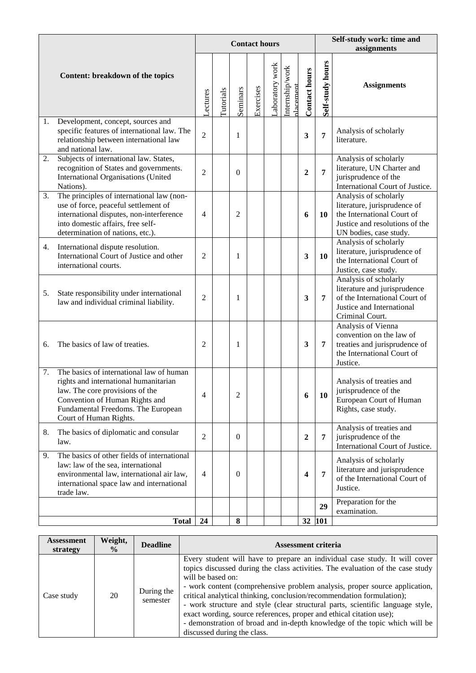|    |                                                                                                                                                                                                                        |                |           |                  | <b>Contact hours</b> |                 |                             |                      | Self-study work: time and |                                                                                                                                                 |  |  |
|----|------------------------------------------------------------------------------------------------------------------------------------------------------------------------------------------------------------------------|----------------|-----------|------------------|----------------------|-----------------|-----------------------------|----------------------|---------------------------|-------------------------------------------------------------------------------------------------------------------------------------------------|--|--|
|    | Content: breakdown of the topics                                                                                                                                                                                       | <b>ectures</b> | Tutorials | Seminars         | Exercises            | Laboratory work | Internship/work<br>dacement | <b>Contact hours</b> | Self-study hours          | assignments<br><b>Assignments</b>                                                                                                               |  |  |
| 1. | Development, concept, sources and<br>specific features of international law. The<br>relationship between international law<br>and national law.                                                                        | $\overline{2}$ |           | 1                |                      |                 |                             | 3                    | $\overline{7}$            | Analysis of scholarly<br>literature.                                                                                                            |  |  |
| 2. | Subjects of international law. States,<br>recognition of States and governments.<br>International Organisations (United<br>Nations).                                                                                   | $\overline{2}$ |           | $\theta$         |                      |                 |                             | $\overline{2}$       | 7                         | Analysis of scholarly<br>literature, UN Charter and<br>jurisprudence of the<br>International Court of Justice.                                  |  |  |
| 3. | The principles of international law (non-<br>use of force, peaceful settlement of<br>international disputes, non-interference<br>into domestic affairs, free self-<br>determination of nations, etc.).                 | 4              |           | 2                |                      |                 |                             | 6                    | <b>10</b>                 | Analysis of scholarly<br>literature, jurisprudence of<br>the International Court of<br>Justice and resolutions of the<br>UN bodies, case study. |  |  |
| 4. | International dispute resolution.<br>International Court of Justice and other<br>international courts.                                                                                                                 | $\overline{2}$ |           | 1                |                      |                 |                             | 3                    | 10                        | Analysis of scholarly<br>literature, jurisprudence of<br>the International Court of<br>Justice, case study.                                     |  |  |
| 5. | State responsibility under international<br>law and individual criminal liability.                                                                                                                                     | 2              |           | 1                |                      |                 |                             | 3                    | 7                         | Analysis of scholarly<br>literature and jurisprudence<br>of the International Court of<br>Justice and International<br>Criminal Court.          |  |  |
| 6. | The basics of law of treaties.                                                                                                                                                                                         | 2              |           | 1                |                      |                 |                             | $\mathbf{3}$         | 7                         | Analysis of Vienna<br>convention on the law of<br>treaties and jurisprudence of<br>the International Court of<br>Justice.                       |  |  |
| 7. | The basics of international law of human<br>rights and international humanitarian<br>law. The core provisions of the<br>Convention of Human Rights and<br>Fundamental Freedoms. The European<br>Court of Human Rights. | 4              |           | 2                |                      |                 |                             | 6                    | 10                        | Analysis of treaties and<br>jurisprudence of the<br>European Court of Human<br>Rights, case study.                                              |  |  |
| 8. | The basics of diplomatic and consular<br>law.                                                                                                                                                                          | 2              |           | $\boldsymbol{0}$ |                      |                 |                             | $\overline{2}$       | 7                         | Analysis of treaties and<br>jurisprudence of the<br>International Court of Justice.                                                             |  |  |
| 9. | The basics of other fields of international<br>law: law of the sea, international<br>environmental law, international air law,<br>international space law and international<br>trade law.                              | $\overline{4}$ |           | $\boldsymbol{0}$ |                      |                 |                             | 4                    | $\overline{7}$            | Analysis of scholarly<br>literature and jurisprudence<br>of the International Court of<br>Justice.                                              |  |  |
|    |                                                                                                                                                                                                                        |                |           |                  |                      |                 |                             |                      | 29                        | Preparation for the<br>examination.                                                                                                             |  |  |
|    | <b>Total</b>                                                                                                                                                                                                           | 24             |           | 8                |                      |                 |                             |                      | 32 101                    |                                                                                                                                                 |  |  |

| <b>Assessment</b><br>strategy | Weight,<br>$\frac{6}{9}$ | <b>Deadline</b>        | <b>Assessment criteria</b>                                                                                                                                                                                                                                                                                                                                                                                                                                                                                                                                                                                     |
|-------------------------------|--------------------------|------------------------|----------------------------------------------------------------------------------------------------------------------------------------------------------------------------------------------------------------------------------------------------------------------------------------------------------------------------------------------------------------------------------------------------------------------------------------------------------------------------------------------------------------------------------------------------------------------------------------------------------------|
| Case study                    | 20                       | During the<br>semester | Every student will have to prepare an individual case study. It will cover<br>topics discussed during the class activities. The evaluation of the case study<br>will be based on:<br>- work content (comprehensive problem analysis, proper source application,<br>critical analytical thinking, conclusion/recommendation formulation);<br>- work structure and style (clear structural parts, scientific language style,<br>exact wording, source references, proper and ethical citation use);<br>- demonstration of broad and in-depth knowledge of the topic which will be<br>discussed during the class. |